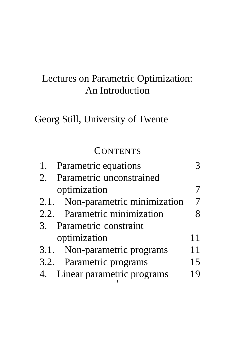## Lectures on Parametric Optimization: An Introduction

## Georg Still, University of Twente

## **CONTENTS**

| 1. | <b>Parametric equations</b>      |    |
|----|----------------------------------|----|
|    | 2. Parametric unconstrained      |    |
|    | optimization                     |    |
|    | 2.1. Non-parametric minimization |    |
|    | 2.2. Parametric minimization     |    |
|    | 3. Parametric constraint         |    |
|    | optimization                     | 11 |
|    | 3.1. Non-parametric programs     | 11 |
|    | 3.2. Parametric programs         | 15 |
|    | 4. Linear parametric programs    | 19 |
|    |                                  |    |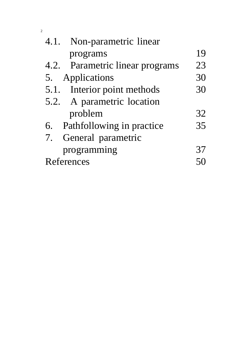| 4.1.       | Non-parametric linear           |    |
|------------|---------------------------------|----|
|            | programs                        | 19 |
|            | 4.2. Parametric linear programs | 23 |
| 5.         | Applications                    | 30 |
|            | 5.1. Interior point methods     | 30 |
|            | 5.2. A parametric location      |    |
|            | problem                         | 32 |
|            | 6. Pathfollowing in practice    | 35 |
|            | 7. General parametric           |    |
|            | programming                     | 37 |
| References |                                 |    |

2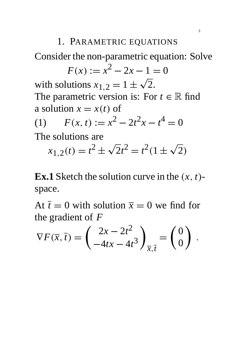#### 1. PARAMETRIC EQUATIONS

Consider the non-parametric equation: Solve

$$
F(x) := x^2 - 2x - 1 = 0
$$

with solutions  $x_{1,2} = 1 \pm \sqrt{2}$ . The parametric version is: For  $t \in \mathbb{R}$  find a solution  $x = x(t)$  of

(1) 
$$
F(x, t) := x^2 - 2t^2x - t^4 = 0
$$

The solutions are

e solutions are  

$$
x_{1,2}(t) = t^2 \pm \sqrt{2}t^2 = t^2(1 \pm \sqrt{2})
$$

**Ex.1** Sketch the solution curve in the  $(x, t)$ space.

At  $\bar{t} = 0$  with solution  $\bar{x} = 0$  we find for the gradient of *F*

$$
\nabla F(\overline{x}, \overline{t}) = \begin{pmatrix} 2x - 2t^2 \\ -4tx - 4t^3 \end{pmatrix}_{\overline{x}, \overline{t}} = \begin{pmatrix} 0 \\ 0 \end{pmatrix}.
$$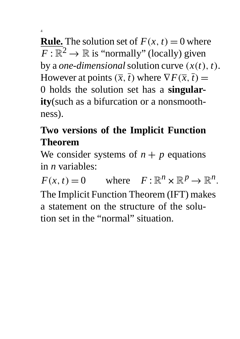**Rule.** The solution set of  $F(x, t) = 0$  where  $F: \mathbb{R}^2 \to \mathbb{R}$  is "normally" (locally) given by a *one-dimensional* solution curve  $(x(t), t)$ . However at points  $(\overline{x}, \overline{t})$  where  $\nabla F(\overline{x}, \overline{t}) =$ 0 holds the solution set has a **singularity**(such as a bifurcation or a nonsmoothness).

4

# **Two versions of the Implicit Function Theorem**

We consider systems of  $n + p$  equations in *n* variables:

 $F(x, t) = 0$  where  $F: \mathbb{R}^n \times \mathbb{R}^p \to \mathbb{R}^n$ . The Implicit Function Theorem (IFT) makes a statement on the structure of the solution set in the "normal" situation.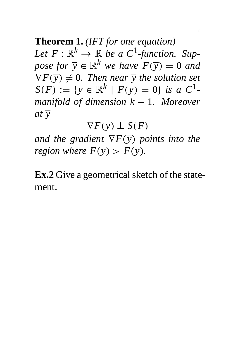**Theorem 1.** *(IFT for one equation)* Let  $F: \mathbb{R}^k \to \mathbb{R}$  be a  $C^1$ -function. Sup*pose for*  $\overline{y} \in \mathbb{R}^k$  *we have*  $F(\overline{y}) = 0$  *and*  $\nabla F(\overline{y}) \neq 0$ . Then near  $\overline{y}$  the solution set  $S(F) := \{ y \in \mathbb{R}^k \mid F(y) = 0 \}$  *is a*  $C^1$ *manifold of dimension*  $k - 1$ *. Moreover*  $at \bar{v}$ 

$$
\nabla F(\overline{\mathbf{y}}) \perp S(F)
$$

*and the gradient*  $\nabla F(\overline{y})$  *points into the region where*  $F(y) > F(\overline{y})$ *.* 

**Ex.2** Give a geometrical sketch of the statement.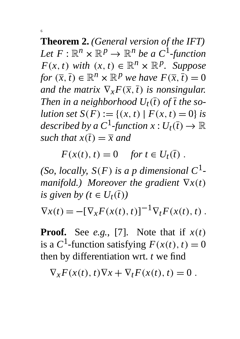**Theorem 2.** *(General version of the IFT)* Let  $F: \mathbb{R}^n \times \mathbb{R}^p \to \mathbb{R}^n$  be a  $C^1$ -function  $F(x, t)$  *with*  $(x, t) \in \mathbb{R}^n \times \mathbb{R}^p$ . Suppose *for*  $(\overline{x}, \overline{t}) \in \mathbb{R}^n \times \mathbb{R}^p$  *we have*  $F(\overline{x}, \overline{t}) = 0$ *and the matrix*  $\nabla_x F(\overline{x}, \overline{t})$  *is nonsingular. Then in a neighborhood*  $U_t(\overline{t})$  of  $\overline{t}$  the so*lution set*  $S(F) := \{(x, t) | F(x, t) = 0\}$  *is* described by a  $C^1$ -function  $x: U_t(\overline{t}) \to \mathbb{R}$ *such that*  $x(\overline{t}) = \overline{x}$  *and* 

6

 $F(x(t), t) = 0$  *for*  $t \in U_t(\bar{t})$ .

*(So, locally,*  $S(F)$  *is a p dimensional*  $C^1$ *manifold.) Moreover the gradient*  $\nabla x(t)$ *is given by (t*  $\in U_t(\overline{t})$ )

 $\nabla x(t) = -[\nabla_x F(x(t), t)]^{-1} \nabla_t F(x(t), t).$ 

**Proof.** See *e.g.*, [7]. Note that if  $x(t)$ is a  $C^1$ -function satisfying  $F(x(t), t) = 0$ then by differentiation wrt. *t* we find

 $\nabla_{\mathbf{r}}F(x(t), t)\nabla x + \nabla_{t}F(x(t), t) = 0$ .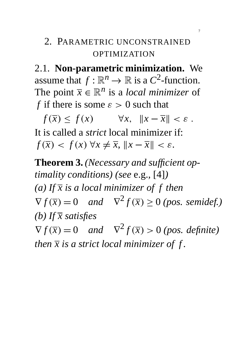## 2. PARAMETRIC UNCONSTRAINED OPTIMIZATION

2.1. **Non-parametric minimization.** We assume that  $f : \mathbb{R}^n \to \mathbb{R}$  is a  $C^2$ -function. The point  $\bar{x} \in \mathbb{R}^n$  is a *local minimizer* of *f* if there is some  $\varepsilon > 0$  such that

 $f(\overline{x}) < f(x)$   $\forall x, \|x - \overline{x}\| < \varepsilon.$ It is called a *strict* local minimizer if:  $f(\overline{x}) < f(x) \forall x \neq \overline{x}, ||x - \overline{x}|| < \varepsilon.$ 

**Theorem 3.** *(Necessary and sufficient optimality conditions) (see* e.g.*,* [4]*) (a) If x is a local minimizer of f then*  $\nabla f(\overline{x}) = 0$  *and*  $\nabla^2 f(\overline{x}) \ge 0$  *(pos. semidef.) (b) If x satisfies*  $\nabla f(\overline{x}) = 0$  *and*  $\nabla^2 f(\overline{x}) > 0$  *(pos. definite) then*  $\bar{x}$  *is a strict local minimizer of f.*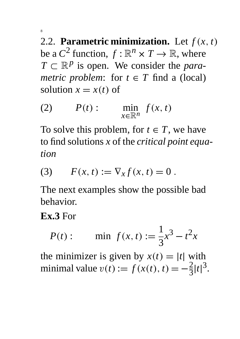2.2. **Parametric minimization.** Let  $f(x, t)$ be a  $C^2$  function,  $f : \mathbb{R}^n \times T \to \mathbb{R}$ , where  $T \subset \mathbb{R}^p$  is open. We consider the *parametric problem:* for  $t \in T$  find a (local) solution  $x = x(t)$  of

(2) 
$$
P(t): \min_{x \in \mathbb{R}^n} f(x, t)
$$

To solve this problem, for  $t \in T$ , we have to find solutions *x* of the *critical point equation*

(3) 
$$
F(x, t) := \nabla_x f(x, t) = 0
$$
.

The next examples show the possible bad behavior.

#### **Ex.3** For

$$
P(t): \qquad \min \ f(x,t) := \frac{1}{3}x^3 - t^2x
$$

the minimizer is given by  $x(t) = |t|$  with minimal value  $v(t) := f(x(t), t) = -\frac{2}{3}$ 3  $|t|^3$ .

8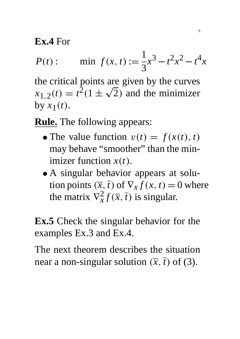**Ex.4** For

$$
P(t): \qquad \min \ f(x,t) := \frac{1}{3}x^3 - t^2x^2 - t^4x
$$

the critical points are given by the curves  $x_{1,2}(t) = t^{\overline{2}}(1 \pm \sqrt{2})$  and the minimizer by  $x_1(t)$ .

**Rule.** The following appears:

- The value function  $v(t) = f(x(t), t)$ may behave "smoother" than the minimizer function  $x(t)$ .
- A singular behavior appears at solution points  $(\overline{x}, \overline{t})$  of  $\nabla_x f(x, t) = 0$  where the matrix  $\nabla_x^2$  $\frac{2}{x} f(\overline{x}, \overline{t})$  is singular.

**Ex.5** Check the singular behavior for the examples Ex.3 and Ex.4.

The next theorem describes the situation near a non-singular solution  $(\overline{x}, \overline{t})$  of (3).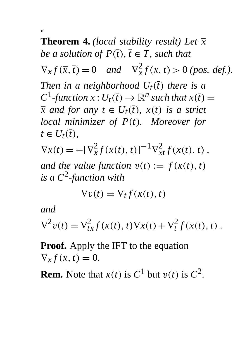**Theorem 4.** *(local stability result) Let x be a solution of P* $(\overline{t})$ *,*  $\overline{t} \in T$ *, such that*  $\nabla_x f(\overline{x}, \overline{t}) = 0$  *and*  $\nabla_x^2$  $\frac{2}{x}f(x, t) > 0$  (pos. def.). *Then in a neighborhood*  $U_t(\bar{t})$  *there is a*  $C^1$ -function  $x: U_t(\overline{t}) \to \mathbb{R}^n$  such that  $x(\overline{t}) =$ *x* and for any  $t \in U_t(\overline{t})$ ,  $x(t)$  is a strict *local minimizer of P(t). Moreover for*  $t \in U_t(\overline{t}),$  $\nabla x(t) = -[\nabla_x^2$  $\int_{x}^{2} f(x(t), t) \, dt$ <sup>-1</sup> $\nabla^{2}_{xt} f(x(t), t)$ ,

*and the value function*  $v(t) := f(x(t), t)$ *is a C*<sup>2</sup> *-function with*

$$
\nabla v(t) = \nabla_t f(x(t), t)
$$

*and*

$$
\nabla^2 v(t) = \nabla^2_{tx} f(x(t), t) \nabla x(t) + \nabla^2_t f(x(t), t).
$$

**Proof.** Apply the IFT to the equation  $\nabla_x f(x, t) = 0.$ 

**Rem.** Note that  $x(t)$  is  $C^1$  but  $v(t)$  is  $C^2$ .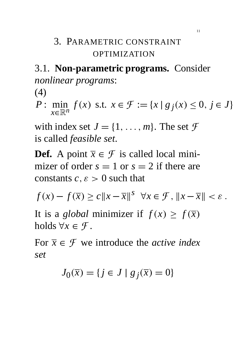## 3. PARAMETRIC CONSTRAINT OPTIMIZATION

# 3.1. **Non-parametric programs.** Consider *nonlinear programs*:

(4)

*P* : min *x*∈R*<sup>n</sup> f*(*x*) s.t.  $x \in \mathcal{F} := \{x \mid g_j(x) \le 0, j \in J\}$ 

with index set  $J = \{1, \ldots, m\}$ . The set  $\mathcal F$ is called *feasible set*.

**Def.** A point  $\overline{x} \in \mathcal{F}$  is called local minimizer of order  $s = 1$  or  $s = 2$  if there are constants  $c, \varepsilon > 0$  such that

$$
f(x) - f(\overline{x}) \ge c \|x - \overline{x}\|^{s} \quad \forall x \in \mathcal{F}, \|x - \overline{x}\| < \varepsilon.
$$

It is a *global* minimizer if  $f(x) \ge f(\overline{x})$ holds  $\forall x \in \mathcal{F}$ .

For  $\bar{x} \in \mathcal{F}$  we introduce the *active index set*

$$
J_0(\overline{x}) = \{ j \in J \mid g_j(\overline{x}) = 0 \}
$$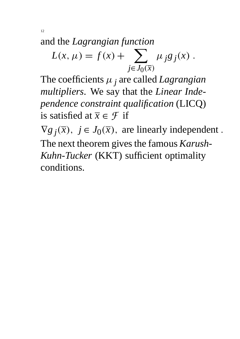and the *Lagrangian function*

$$
L(x, \mu) = f(x) + \sum_{j \in J_0(\overline{x})} \mu_j g_j(x) .
$$

The coefficients  $\mu_j$  are called *Lagrangian multipliers*. We say that the *Linear Independence constraint qualification* (LICQ) is satisfied at  $\overline{x} \in \mathcal{F}$  if

 $\nabla g_j(\overline{x})$ ,  $j \in J_0(\overline{x})$ , are linearly independent. The next theorem gives the famous *Karush-Kuhn-Tucker* (KKT) sufficient optimality conditions.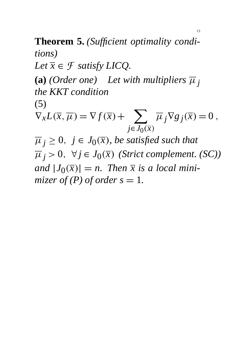**Theorem 5.** *(Sufficient optimality conditions) Let*  $\overline{x} \in \mathcal{F}$  *satisfy LICQ.* **(a)** *(Order one)* Let with multipliers  $\overline{\mu}_j$ *the KKT condition* (5)  $\nabla_x L(\overline{x}, \overline{\mu}) = \nabla f(\overline{x}) + \sum \overline{\mu}_j \nabla g_j(\overline{x}) = 0$ ,  $j \in J_0(\overline{x})$  $\overline{\mu}_j \geq 0$ ,  $j \in J_0(\overline{x})$ , be satisfied such that  $\overline{\mu}_j > 0$ ,  $\forall j \in J_0(\overline{x})$  (Strict complement. (SC)) and  $|J_0(\overline{x})| = n$ . Then  $\overline{x}$  is a local mini*mizer of (P) of order s = 1.* 

13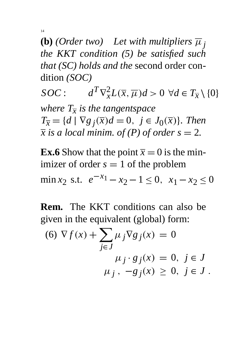14

**(b)** *(Order two)* Let with multipliers  $\overline{\mu}$  *j the KKT condition (5) be satisfied such that (SC) holds and the* second order condition *(SOC)*

 $SOC$  :  $T \nabla_x^2 L(\overline{x}, \overline{\mu}) d > 0 \ \forall d \in T_{\overline{x}} \setminus \{0\}$ *where Tx is the tangentspace*  $T_{\overline{x}} = \{d \mid \nabla g_j(\overline{x})d = 0, \ j \in J_0(\overline{x})\}.$  Then  $\overline{x}$  *is a local minim. of (P) of order s = 2.* 

**Ex.6** Show that the point  $\bar{x} = 0$  is the minimizer of order  $s = 1$  of the problem min *x*<sub>2</sub> s.t.  $e^{-x_1} - x_2 - 1 \le 0$ ,  $x_1 - x_2 \le 0$ 

**Rem.** The KKT conditions can also be given in the equivalent (global) form:

(6) 
$$
\nabla f(x) + \sum_{j \in J} \mu_j \nabla g_j(x) = 0
$$
  
\n
$$
\mu_j \cdot g_j(x) = 0, \ j \in J
$$
\n
$$
\mu_j, -g_j(x) \ge 0, \ j \in J.
$$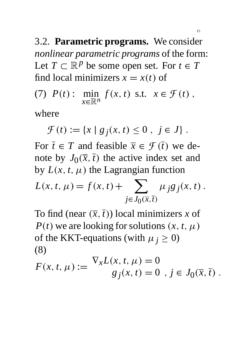3.2. **Parametric programs.** We consider *nonlinear parametric programs* of the form: Let  $T \subset \mathbb{R}^p$  be some open set. For  $t \in T$ find local minimizers  $x = x(t)$  of

(7) 
$$
P(t): \min_{x \in \mathbb{R}^n} f(x, t) \text{ s.t. } x \in \mathcal{F}(t),
$$

where

 $\mathcal{F}(t) := \{x \mid g_j(x, t) \leq 0, j \in J\}$ .

For  $\bar{t} \in T$  and feasible  $\bar{x} \in \mathcal{F}(\bar{t})$  we denote by  $J_0(\overline{x}, \overline{t})$  the active index set and by  $L(x, t, \mu)$  the Lagrangian function

$$
L(x, t, \mu) = f(x, t) + \sum_{j \in J_0(\bar{x}, \bar{t})} \mu_j g_j(x, t).
$$

To find (near  $(\overline{x}, \overline{t})$ ) local minimizers *x* of *P*(*t*) we are looking for solutions  $(x, t, \mu)$ of the KKT-equations (with  $\mu_j \geq 0$ ) (8)

$$
F(x, t, \mu) := \frac{\nabla_x L(x, t, \mu) = 0}{g_j(x, t) = 0, j \in J_0(\overline{x}, \overline{t})}.
$$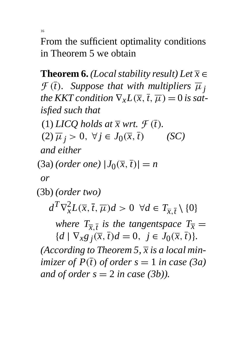16

From the sufficient optimality conditions in Theorem 5 we obtain

**Theorem 6.** *(Local stability result)* Let  $\overline{x}$   $\in$  $\mathcal{F}(\overline{t})$ . Suppose that with multipliers  $\overline{\mu}_i$ *the KKT condition*  $\nabla_x L(\overline{x}, \overline{t}, \overline{\mu}) = 0$  *is satisfied such that*

(1) *LICQ* holds at  $\overline{x}$  wrt.  $\mathcal{F}(\overline{t})$ .

 $(2)\overline{\mu}_j > 0, \forall j \in J_0(\overline{x}, \overline{t})$  (SC)

*and either*

 $(3a)$  *(order one)*  $|J_0(\overline{x}, \overline{t})| = n$ 

*or*

(3b) *(order two)*

 $d^T \nabla_x^2 L(\overline{x}, \overline{t}, \overline{\mu}) d > 0 \ \ \forall d \in T_{\overline{x}, \overline{t}} \setminus \{0\}$ 

*where*  $T_{\overline{x}, \overline{t}}$  *is the tangentspace*  $T_{\overline{x}} =$  ${d \mid \nabla_x g_j(\overline{x}, \overline{t})d = 0, \ j \in J_0(\overline{x}, \overline{t})}.$ 

*(According to Theorem 5, x is a local minimizer of*  $P(\overline{t})$  *of order s* = 1 *in case* (3*a*) *and of order*  $s = 2$  *in case (3b)).*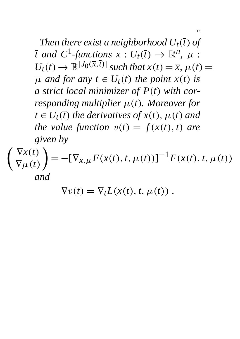*Then there exist a neighborhood*  $U_t(\overline{t})$  of *t* and  $C^1$ -functions  $x: U_t(\overline{t}) \to \mathbb{R}^n$ ,  $\mu$ :  $U_t(\overline{t}) \rightarrow \mathbb{R}^{|J_0(\overline{x}, \overline{t})|}$  *such that*  $x(\overline{t}) = \overline{x}, \mu(\overline{t}) =$  $\overline{\mu}$  *and for any t*  $\in U_t(\overline{t})$  *the point x*(*t*) *is a strict local minimizer of P(t) with corresponding multiplier*  $\mu(t)$ *. Moreover for*  $t \in U_t(\overline{t})$  *the derivatives of*  $x(t)$ ,  $\mu(t)$  *and the value function*  $v(t) = f(x(t), t)$  *are given by*

17

$$
\begin{pmatrix} \nabla x(t) \\ \nabla \mu(t) \end{pmatrix} = -[\nabla_{x,\mu} F(x(t), t, \mu(t))]^{-1} F(x(t), t, \mu(t))
$$
  
and

$$
\nabla v(t) = \nabla_t L(x(t), t, \mu(t)) .
$$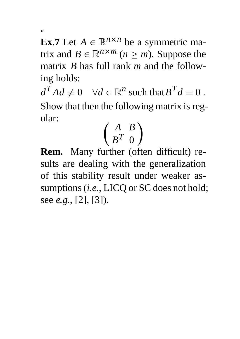18

**Ex.7** Let  $A \in \mathbb{R}^{n \times n}$  be a symmetric matrix and  $B \in \mathbb{R}^{n \times m}$  ( $n \ge m$ ). Suppose the matrix *B* has full rank *m* and the following holds:

 $d^T A d \neq 0 \quad \forall d \in \mathbb{R}^n$  such that  $B^T d = 0$ . Show that then the following matrix is regular:

 *A B B <sup>T</sup>* 0  $\lambda$ 

**Rem.** Many further (often difficult) results are dealing with the generalization of this stability result under weaker assumptions (*i.e.*, LICQ or SC does not hold; see *e.g.*, [2], [3]).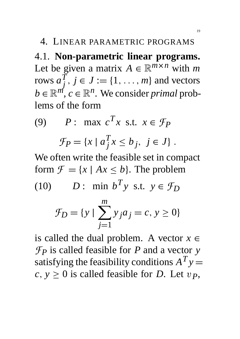#### 4. LINEAR PARAMETRIC PROGRAMS

4.1. **Non-parametric linear programs.** Let be given a matrix  $A \in \mathbb{R}^{m \times n}$  with *m* rows  $a_i^{\bar{T}}$ *j*  $, j \in J := \{1, \ldots, m\}$  and vectors  $b \in \mathbb{R}^m$ ,  $c \in \mathbb{R}^n$ . We consider *primal* problems of the form

(9) 
$$
P: \max c^T x \text{ s.t. } x \in \mathcal{F}_P
$$

$$
\mathcal{F}_P = \{x \mid a_j^T x \le b_j, j \in J\}.
$$

We often write the feasible set in compact form  $\mathcal{F} = \{x \mid Ax \leq b\}$ . The problem

(10) 
$$
D: \min b^T y \text{ s.t. } y \in \mathcal{F}_D
$$

$$
\mathcal{F}_D = \{ y \mid \sum_{j=1}^{m} y_j a_j = c, y \ge 0 \}
$$

is called the dual problem. A vector  $x \in$  $\mathcal{F}_P$  is called feasible for *P* and a vector *y* satisfying the feasibility conditions  $A^T y =$  $c, y \geq 0$  is called feasible for *D*. Let  $v_p$ ,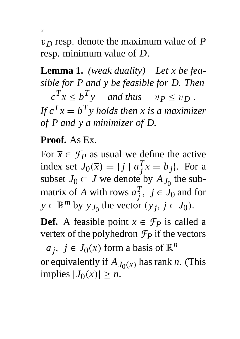v*D* resp. denote the maximum value of *P* resp. minimum value of *D*.

**Lemma 1.** *(weak duality) Let x be feasible for P and y be feasible for D. Then*  $c^T x \le b^T y$  and thus  $v_P \le v_D$ . If  $c^T x = b^T y$  holds then x is a maximizer *of P and y a minimizer of D.*

#### **Proof.** As Ex.

For  $\bar{x} \in \mathcal{F}_P$  as usual we define the active index set  $J_0(\overline{x}) = \{j \mid a_j^T\}$  $\int_j^T x = b_j$ . For a subset  $J_0 \subset J$  we denote by  $A_{J_0}$  the submatrix of *A* with rows  $a_i^T$  $j^T$ ,  $j \in J_0$  and for  $y \in \mathbb{R}^m$  by  $y_{J_0}$  the vector  $(y_j, j \in J_0)$ .

**Def.** A feasible point  $\overline{x} \in \mathcal{F}_P$  is called a vertex of the polyhedron  $\mathcal{F}_P$  if the vectors

 $a_j$ ,  $j \in J_0(\overline{x})$  form a basis of  $\mathbb{R}^n$ or equivalently if  $A_{J_0(\overline{x})}$  has rank *n*. (This  $implies |J_0(\overline{x})| \geq n.$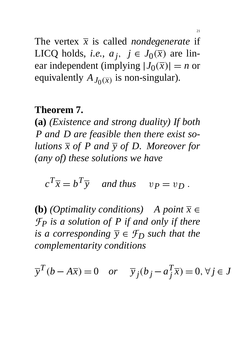The vertex  $\bar{x}$  is called *nondegenerate* if LICQ holds, *i.e.*,  $a_j$ ,  $j \in J_0(\overline{x})$  are linear independent (implying  $|J_0(\overline{x})| = n$  or equivalently  $A_{J_0(\overline{x})}$  is non-singular).

#### **Theorem 7.**

**(a)** *(Existence and strong duality) If both P and D are feasible then there exist solutions*  $\overline{x}$  *of P and*  $\overline{y}$  *of D. Moreover for (any of) these solutions we have*

 $c^T \overline{x} = b^T \overline{y}$  and thus  $v_P = v_D$ .

**(b)** *(Optimality conditions)* A point  $\overline{x}$  ∈ *FP is a solution of P if and only if there is a corresponding*  $\overline{y} \in \mathcal{F}_D$  *such that the complementarity conditions*

$$
\overline{y}^T(b - A\overline{x}) = 0
$$
 or  $\overline{y}_j(b_j - a_j^T \overline{x}) = 0, \forall j \in J$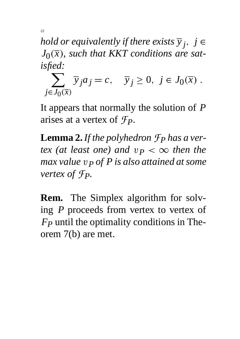*hold or equivalently if there exists*  $\overline{y}_j$ ,  $j \in$  $J_0(\overline{x})$ , such that KKT conditions are sat*isfied:*

22

 $\sum \overline{y}_j a_j = c, \quad \overline{y}_j \ge 0, \ j \in J_0(\overline{x})$ .  $j \in J_0(\overline{x})$ 

It appears that normally the solution of *P* arises at a vertex of *FP*.

**Lemma 2.***If the polyhedron FP has a vertex (at least one)* and  $v_P < \infty$  then the *max value* v*P of P is also attained at some vertex of FP.*

**Rem.** The Simplex algorithm for solving *P* proceeds from vertex to vertex of *FP* until the optimality conditions in Theorem 7(b) are met.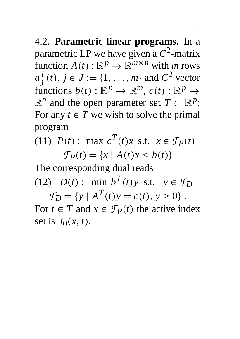4.2. **Parametric linear programs.** In a parametric LP we have given a  $C^2$ -matrix function  $A(t) : \mathbb{R}^p \to \mathbb{R}^{m \times n}$  with *m* rows  $a_i^T$ *j*  $(t), j \in J := \{1, ..., m\}$  and  $C^2$  vector functions  $b(t): \mathbb{R}^p \to \mathbb{R}^m$ ,  $c(t): \mathbb{R}^p \to$  $\mathbb{R}^n$  and the open parameter set  $T \subset \mathbb{R}^p$ : For any  $t \in T$  we wish to solve the primal program

(11) *P*(*t*): max  $c^T(t)x$  s.t.  $x \in \mathcal{F}_P(t)$  $\mathcal{F}_P(t) = \{x \mid A(t)x \leq b(t)\}$ 

The corresponding dual reads (12) *D*(*t*): min *b*<sup>*T*</sup>(*t*)*y* s.t.  $y \in \mathcal{F}_D$ 

 $\mathcal{F}_D = \{y \mid A^T(t)y = c(t), y \ge 0\}$ . For  $\bar{t} \in T$  and  $\bar{x} \in \mathcal{F}_P(\bar{t})$  the active index set is  $J_0(\overline{x}, \overline{t})$ .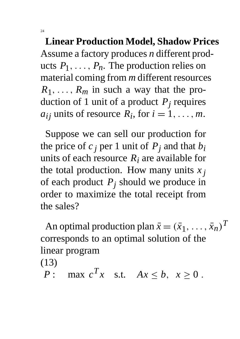**Linear Production Model, Shadow Prices** Assume a factory produces *n* different products  $P_1, \ldots, P_n$ . The production relies on material coming from *m* different resources  $R_1, \ldots, R_m$  in such a way that the production of 1 unit of a product *Pj* requires  $a_{ij}$  units of resource  $\overline{R}_i$ , for  $i = 1, \ldots, m$ .

Suppose we can sell our production for the price of  $c_j$  per 1 unit of  $P_j$  and that  $b_i$ units of each resource  $R_i$  are available for the total production. How many units  $x_j$ of each product *Pj* should we produce in order to maximize the total receipt from the sales?

An optimal production plan  $\bar{x} = (\bar{x}_1, \ldots, \bar{x}_n)^T$ corresponds to an optimal solution of the linear program

(13)

*P*: max  $c^T x$  s.t.  $Ax \leq b$ ,  $x \geq 0$ .

24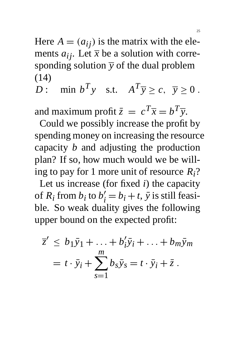Here  $A = (a_{ij})$  is the matrix with the elements  $a_{ij}$ . Let  $\bar{x}$  be a solution with corresponding solution  $\overline{y}$  of the dual problem (14)

*D*: min  $b^T y$  s.t.  $A^T \overline{y} \ge c$ ,  $\overline{y} \ge 0$ .

and maximum profit  $\bar{z} = c^T \bar{x} = b^T \bar{y}$ .

Could we possibly increase the profit by spending money on increasing the resource capacity *b* and adjusting the production plan? If so, how much would we be willing to pay for 1 more unit of resource *Ri*?

Let us increase (for fixed *i*) the capacity of  $R_i$  from  $b_i$  to  $b$  $\hat{i} = b_i + t$ ,  $\bar{y}$  is still feasible. So weak duality gives the following upper bound on the expected profit:

$$
\overline{z}' \le b_1 \overline{y}_1 + \ldots + b'_i \overline{y}_i + \ldots + b_m \overline{y}_m
$$
  
=  $t \cdot \overline{y}_i + \sum_{s=1}^m b_s \overline{y}_s = t \cdot \overline{y}_i + \overline{z}$ .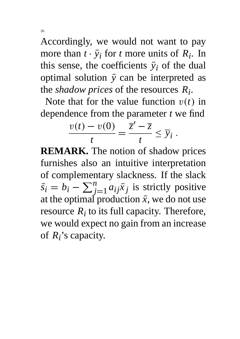Accordingly, we would not want to pay more than  $t \cdot \bar{y}_i$  for *t* more units of  $R_i$ . In this sense, the coefficients  $\bar{y}_i$  of the dual optimal solution  $\bar{y}$  can be interpreted as the *shadow prices* of the resources *Ri* .

Note that for the value function  $v(t)$  in dependence from the parameter *t* we find

$$
\frac{v(t)-v(0)}{t}=\frac{\overline{z}'-\overline{z}}{t}\leq \overline{y}_i.
$$

**REMARK.** The notion of shadow prices furnishes also an intuitive interpretation of complementary slackness. If the slack  $\bar{s_i} = b_i - \sum_i^n$  $\sum_{j=1}^{n} a_{ij} \bar{x}_j$  is strictly positive at the optimal production  $\bar{x}$ , we do not use resource  $R_i$  to its full capacity. Therefore, we would expect no gain from an increase of *Ri* 's capacity.

26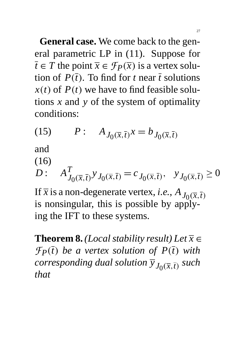**General case.** We come back to the general parametric LP in (11). Suppose for  $\overline{t} \in T$  the point  $\overline{x} \in \mathcal{F}_P(\overline{x})$  is a vertex solution of  $P(\bar{t})$ . To find for *t* near  $\bar{t}$  solutions  $x(t)$  of  $P(t)$  we have to find feasible solutions *x* and *y* of the system of optimality conditions:

(15) 
$$
P: A_{J_0(\overline{x}, \overline{t})}x = b_{J_0(\overline{x}, \overline{t})}
$$

and

(16)

$$
D: \quad A_{J_0(\overline{x}, \overline{t})}^T y_{J_0(\overline{x}, \overline{t})} = c_{J_0(\overline{x}, \overline{t})}, \quad y_{J_0(\overline{x}, \overline{t})} \ge 0
$$

If  $\overline{x}$  is a non-degenerate vertex, *i.e.*,  $A_{J_0(\overline{x}, \overline{t})}$ is nonsingular, this is possible by applying the IFT to these systems.

**Theorem 8.** *(Local stability result)* Let  $\overline{x}$   $\in$ *F*<sub>*P*</sub> $(\overline{t})$  *be a vertex solution of P* $(\overline{t})$  *with corresponding dual solution*  $\overline{y}_{J_0(\overline{x}, \overline{t})}$  such *that*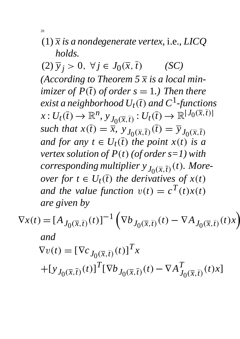## (1) *x is a nondegenerate vertex,* i.e.*, LICQ holds.*

 $(2)\overline{y}_j > 0, \forall j \in J_0(\overline{x}, \overline{t})$  (SC) *(According to Theorem 5 x is a local minimizer of*  $P(\overline{t})$  *of order s* = 1*.)* Then there *exist a neighborhood*  $U_t(\overline{t})$  and  $C^1$ -functions  $x: U_t(\overline{t}) \to \mathbb{R}^n$ ,  $y_{J_0(\overline{x}, \overline{t})}: U_t(\overline{t}) \to \mathbb{R}^{|J_0(\overline{x}, \overline{t})|}$ such that  $x(\overline{t}) = \overline{x}$ ,  $\overline{y}$ ,  $y_{0}(\overline{x},\overline{t})$   $(\overline{t}) = \overline{y}$ ,  $y_{0}(\overline{x},\overline{t})$ *and for any t*  $\in U_t(\overline{t})$  *the point x*(*t*) *is a vertex solution of*  $P(t)$  *(of order s=1) with corresponding multiplier*  $y_{J_0(\overline{x}, \overline{t})}(t)$ *. Moreover for*  $t \in U_t(\overline{t})$  *the derivatives of*  $x(t)$ *and the value function*  $v(t) = c^T(t)x(t)$ *are given by*

$$
\nabla x(t) = [A_{J_0(\overline{x}, \overline{t})}(t)]^{-1} \left( \nabla b_{J_0(\overline{x}, \overline{t})}(t) - \nabla A_{J_0(\overline{x}, \overline{t})}(t)x \right)
$$
  
and  

$$
\nabla v(t) = [\nabla c_{J_0(\overline{x}, \overline{t})}(t)]^T x
$$

$$
+ [\nabla J_0(\overline{x}, \overline{t})}(t)]^T [\nabla b_{J_0(\overline{x}, \overline{t})}(t) - \nabla A_{J_0(\overline{x}, \overline{t})}^T(t)x]
$$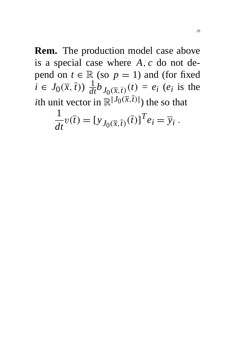**Rem.** The production model case above is a special case where *A*; *c* do not depend on  $t \in \mathbb{R}$  (so  $p = 1$ ) and (for fixed  $i \in J_0(\bar{x}, \bar{t})$ )  $\frac{1}{dt} b_{J_0(\bar{x}, \bar{t})}(t) = e_i$  (*e<sub>i</sub>* is the *i*th unit vector in  $\mathbb{R}^{\vert J_0(\bar{x}, \bar{t}) \vert}$ ) the so that

$$
\frac{1}{dt}v(\overline{t}) = [y_{J_0(\overline{x},\overline{t})}(\overline{t})]^T e_i = \overline{y}_i.
$$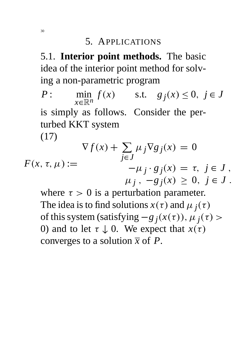#### 5. APPLICATIONS

5.1. **Interior point methods.** The basic idea of the interior point method for solving a non-parametric program

*P* : min *x*∈R*<sup>n</sup> f*(*x*) s.t. *g*  $j(x) \le 0, j \in J$ is simply as follows. Consider the perturbed KKT system (17)  $\nabla f(x) + \sum$  $\mu_j \nabla g_j(x) = 0$ 

 $F(x, \tau, \mu) :=$ *j*∈*J*  $-\mu_j \cdot g_j(x) = \tau, \ j \in J$ ,  $\mu_j$ ,  $-g_j(x) \geq 0, j \in J$ .

where  $\tau > 0$  is a perturbation parameter. The idea is to find solutions  $x(\tau)$  and  $\mu_j(\tau)$ of this system (satisfying  $-g_j(x(\tau))$ ,  $\mu_j(\tau)$ ) 0) and to let  $\tau \downarrow 0$ . We expect that  $x(\tau)$ converges to a solution  $\bar{x}$  of  $P$ .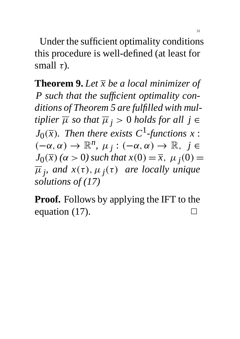Under the sufficient optimality conditions this procedure is well-defined (at least for small  $\tau$ ).

**Theorem 9.** *Let x be a local minimizer of P such that the sufficient optimality conditions of Theorem 5 are fulfilled with multiplier*  $\overline{\mu}$  *so that*  $\overline{\mu}$  *j* > 0 *holds for all j* ∈  $J_0(\overline{x})$ *. Then there exists C*<sup>1</sup>-functions x :  $(-\alpha, \alpha) \to \mathbb{R}^n$ ,  $\mu_j : (-\alpha, \alpha) \to \mathbb{R}, j \in$  $J_0(\overline{x})$  ( $\alpha > 0$ ) such that  $x(0) = \overline{x}$ ,  $\mu_j(0) =$  $\overline{\mu}_j$ , and  $x(\tau)$ ,  $\mu_j(\tau)$  are locally unique *solutions of (17)*

**Proof.** Follows by applying the IFT to the equation  $(17)$ .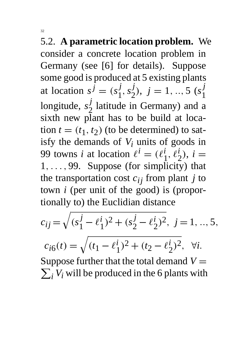5.2. **A parametric location problem.** We consider a concrete location problem in Germany (see [6] for details). Suppose some good is produced at 5 existing plants at location  $s^{\hat{j}} = (s_1^{\hat{j}})$ 1 ;*s j* 2  $j = 1, ..., 5$  ( $s_1^j$ ) 1 longitude, *s j* 2 latitude in Germany) and a sixth new plant has to be build at location  $t = (t_1, t_2)$  (to be determined) to satisfy the demands of  $V_i$  units of goods in 99 towns *i* at location  $\ell^{i} = (\ell_1^{i})$ 1  $\overline{\ell}$ <sup>*i*</sup><sub> $\overline{\ell}$ </sub> 2  $i, i =$  $1, \ldots, 99$ . Suppose (for simplicity) that the transportation cost  $c_{ij}$  from plant *j* to town *i* (per unit of the good) is (proportionally to) the Euclidian distance

$$
c_{ij} = \sqrt{(s_1^j - \ell_1^i)^2 + (s_2^j - \ell_2^i)^2}, \ j = 1, ..., 5,
$$
  
\n
$$
c_{i6}(t) = \sqrt{(t_1 - \ell_1^i)^2 + (t_2 - \ell_2^i)^2}, \ \forall i.
$$
  
\nSuppose further that the total demand  $V = \sum_i V_i$  will be produced in the 6 plants with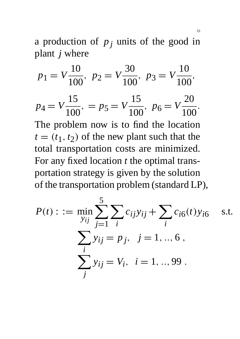a production of  $p_j$  units of the good in plant *j* where

$$
p_1 = V \frac{10}{100}, \ p_2 = V \frac{30}{100}, \ p_3 = V \frac{10}{100},
$$
  
\n
$$
p_4 = V \frac{15}{100}, \ p_5 = V \frac{15}{100}, \ p_6 = V \frac{20}{100}.
$$
  
\nThe problem now is to find the location  
\n $t = (t_1, t_2)$  of the new plant such that the  
\ntotal transportation costs are minimized.  
\nFor any fixed location *t* the optimal trans-  
\nportation strategy is given by the solution  
\nof the transportation problem (standard LP),

$$
P(t) : := \min_{y_{ij}} \sum_{j=1}^{5} \sum_{i} c_{ij} y_{ij} + \sum_{i} c_{i6}(t) y_{i6} \quad \text{s.t.}
$$

$$
\sum_{i} y_{ij} = p_j, \quad j = 1, ..., 6,
$$

$$
\sum_{j} y_{ij} = V_i, \quad i = 1, ..., 99.
$$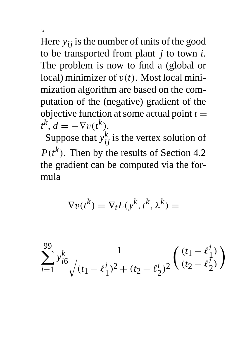Here  $y_{ij}$  is the number of units of the good to be transported from plant *j* to town *i*. The problem is now to find a (global or local) minimizer of  $v(t)$ . Most local minimization algorithm are based on the computation of the (negative) gradient of the objective function at some actual point  $t =$  $t^k$ ,  $d = -\nabla v(t^k)$ .

Suppose that  $y_{ij}^k$  is the vertex solution of  $P(t^k)$ . Then by the results of Section 4.2 the gradient can be computed via the formula

$$
\nabla v(t^k) = \nabla_t L(y^k, t^k, \lambda^k) =
$$

$$
\sum_{i=1}^{99} y_{i6}^k \frac{1}{\sqrt{(t_1 - \ell_1^i)^2 + (t_2 - \ell_2^i)^2}} \left( \frac{(t_1 - \ell_1^i)}{(t_2 - \ell_2^i)} \right)
$$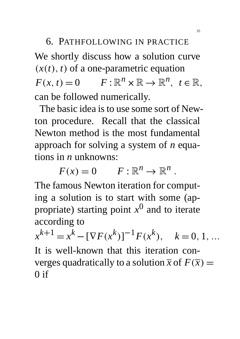# 6. PATHFOLLOWING IN PRACTICE

We shortly discuss how a solution curve  $(x(t), t)$  of a one-parametric equation  $F(x, t) = 0$   $F: \mathbb{R}^n \times \mathbb{R} \to \mathbb{R}^n$ ,  $t \in \mathbb{R}$ , can be followed numerically.

The basic idea is to use some sort of Newton procedure. Recall that the classical Newton method is the most fundamental approach for solving a system of *n* equations in *n* unknowns:

 $F(x) = 0$   $F: \mathbb{R}^n \to \mathbb{R}^n$ .

The famous Newton iteration for computing a solution is to start with some (appropriate) starting point  $x^0$  and to iterate according to

*x*  $k+1 = x^k - [\nabla F(x^k)]^{-1} F(x^k), \quad k = 0, 1, ...$ It is well-known that this iteration converges quadratically to a solution  $\overline{x}$  of  $F(\overline{x}) =$  $0$  if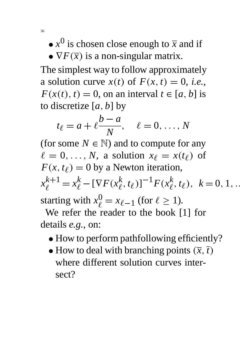- $x^0$  is chosen close enough to  $\overline{x}$  and if
- $\nabla F(\overline{x})$  is a non-singular matrix.

The simplest way to follow approximately a solution curve  $x(t)$  of  $F(x, t) = 0$ , *i.e.*,  $F(x(t), t) = 0$ , on an interval  $t \in [a, b]$  is to discretize [*a*; *b*] by

$$
t_{\ell} = a + \ell \frac{b - a}{N}, \quad \ell = 0, \ldots, N
$$

(for some  $N \in \mathbb{N}$ ) and to compute for any  $\ell = 0, \ldots, N$ , a solution  $x_{\ell} = x(t_{\ell})$  of  $F(x, t_\ell) = 0$  by a Newton iteration, *x*  $x_{\ell}^{k+1} = x_{\ell}^k - [\nabla F(x_{\ell}^k)]$  $\left[\begin{matrix} k \\ \ell \end{matrix}\right], t_{\ell}$ <sup>1</sup> $F(x_{\ell}^k)$  $\frac{k}{\ell}, t_{\ell}$ ,  $k = 0, 1, ...$ starting with  $x_{\ell}^0 = x_{\ell-1}$  (for  $\ell \ge 1$ ).

We refer the reader to the book [1] for details *e.g.*, on:

- How to perform pathfollowing efficiently?
- How to deal with branching points  $(\overline{x}, \overline{t})$ where different solution curves intersect?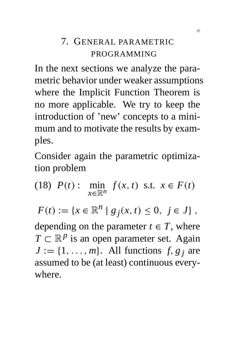## 7. GENERAL PARAMETRIC PROGRAMMING

In the next sections we analyze the parametric behavior under weaker assumptions where the Implicit Function Theorem is no more applicable. We try to keep the introduction of 'new' concepts to a minimum and to motivate the results by examples.

Consider again the parametric optimization problem

 $(18)$   $P(t)$  : min *x*∈R*<sup>n</sup> f*(*x*, *t*) s.t.  $x \in F(t)$  $F(t) := \{x \in \mathbb{R}^n \mid g_j(x, t) \leq 0, \ j \in J\},$ depending on the parameter  $t \in T$ , where  $T \subset \mathbb{R}^p$  is an open parameter set. Again  $J := \{1, \ldots, m\}$ . All functions  $f, g_j$  are

assumed to be (at least) continuous everywhere.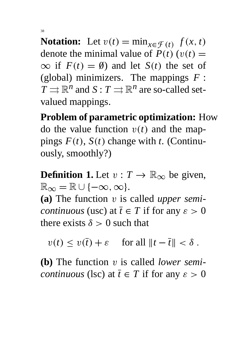**Notation:** Let  $v(t) = \min_{x \in \mathcal{F}(t)} f(x, t)$ denote the minimal value of  $P(t)$  ( $v(t)$  =  $\infty$  if  $F(t) = \emptyset$  and let  $S(t)$  the set of (global) minimizers. The mappings *F* :  $T \rightrightarrows \mathbb{R}^n$  and  $S: T \rightrightarrows \mathbb{R}^n$  are so-called setvalued mappings.

**Problem of parametric optimization:** How do the value function  $v(t)$  and the mappings  $F(t)$ ,  $S(t)$  change with *t*. (Continuously, smoothly?)

**Definition 1.** Let  $v : T \to \mathbb{R}_{\infty}$  be given,  $\mathbb{R}_{\infty} = \mathbb{R} \cup \{-\infty, \infty\}.$ 

**(a)** The function v is called *upper semicontinuous* (usc) at  $\overline{t} \in T$  if for any  $\varepsilon > 0$ there exists  $\delta > 0$  such that

 $v(t) \le v(\overline{t}) + \varepsilon$  for all  $||t - \overline{t}|| < \delta$ .

**(b)** The function v is called *lower semicontinuous* (lsc) at  $\overline{t} \in T$  if for any  $\varepsilon > 0$ 

38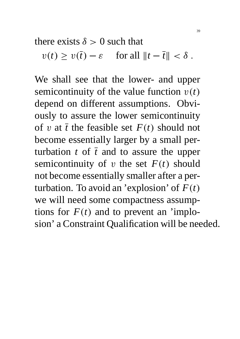there exists  $\delta > 0$  such that

$$
v(t) \ge v(\overline{t}) - \varepsilon \quad \text{ for all } \|t - \overline{t}\| < \delta.
$$

We shall see that the lower- and upper semicontinuity of the value function  $v(t)$ depend on different assumptions. Obviously to assure the lower semicontinuity of v at  $\bar{t}$  the feasible set  $F(t)$  should not become essentially larger by a small perturbation  $t$  of  $\overline{t}$  and to assure the upper semicontinuity of v the set  $F(t)$  should not become essentially smaller after a perturbation. To avoid an 'explosion' of  $F(t)$ we will need some compactness assumptions for  $F(t)$  and to prevent an 'implosion' a Constraint Qualification will be needed.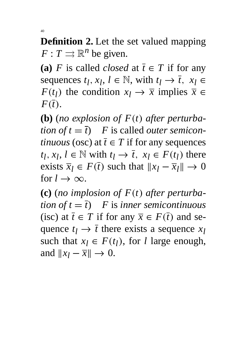**Definition 2.** Let the set valued mapping  $F: T \rightrightarrows \mathbb{R}^n$  be given.

(a) *F* is called *closed* at  $\overline{t} \in T$  if for any sequences  $t_l$ ,  $x_l$ ,  $l \in \mathbb{N}$ , with  $t_l \rightarrow \overline{t}$ ,  $x_l \in$ *F*(*t*<sub>*l*</sub>) the condition  $x_l \to \overline{x}$  implies  $\overline{x} \in$  $F(\overline{t})$ .

**(b)** (*no explosion of*  $F(t)$  *after perturbation of*  $t = \overline{t}$  *F* is called *outer semicontinuous* (osc) at  $\overline{t} \in T$  if for any sequences  $t_l, x_l, l \in \mathbb{N}$  with  $t_l \rightarrow \overline{t}, x_l \in F(t_l)$  there exists  $\overline{x}_l \in F(\overline{t})$  such that  $||x_l - \overline{x}_l|| \to 0$ for  $l \to \infty$ .

(c) (*no implosion of*  $F(t)$  *after perturbation of t* =  $\overline{t}$ ) *F* is *inner semicontinuous* (isc) at  $\overline{t} \in T$  if for any  $\overline{x} \in F(\overline{t})$  and sequence  $t_l \rightarrow \overline{t}$  there exists a sequence  $x_l$ such that  $x_l \in F(t_l)$ , for *l* large enough, and  $\|x_i - \overline{x}\| \to 0$ .

40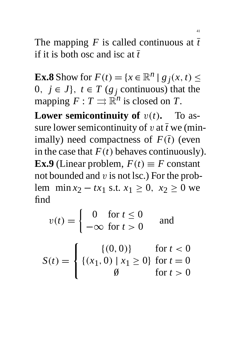The mapping  $F$  is called continuous at  $\bar{t}$ if it is both osc and isc at *t*

**Ex.8** Show for  $F(t) = \{x \in \mathbb{R}^n | g_j(x, t) \leq 0\}$ 0,  $j \in J$ ,  $t \in T$  ( $g_j$  continuous) that the mapping  $F: T \rightrightarrows \mathbb{R}^n$  is closed on *T*.

**Lower semicontinuity of**  $v(t)$ **. To as**sure lower semicontinuity of  $v$  at  $\bar{t}$  we (minimally) need compactness of  $F(\bar{t})$  (even in the case that  $F(t)$  behaves continuously). **Ex.9** (Linear problem,  $F(t) \equiv F$  constant not bounded and  $v$  is not lsc.) For the problem min *x*<sub>2</sub> − *tx*<sub>1</sub> s.t. *x*<sub>1</sub> ≥ 0, *x*<sub>2</sub> ≥ 0 we find

$$
v(t) = \begin{cases} 0 & \text{for } t \le 0 \\ -\infty & \text{for } t > 0 \end{cases} \quad \text{and}
$$
\n
$$
S(t) = \begin{cases} \{(0,0)\} & \text{for } t < 0 \\ \{(x_1, 0) \mid x_1 \ge 0\} & \text{for } t = 0 \\ 0 & \text{for } t > 0 \end{cases}
$$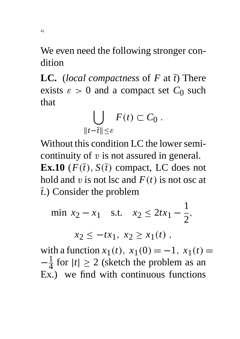We even need the following stronger condition

**LC.** (*local compactness* of *F* at *t*) There exists  $\varepsilon > 0$  and a compact set  $C_0$  such that

$$
\bigcup_{\|t-\overline{t}\|\leq \varepsilon} F(t) \subset C_0.
$$

Without this condition LC the lower semicontinuity of  $v$  is not assured in general. **Ex.10** ( $F(\overline{t})$ ,  $S(\overline{t})$  compact, LC does not hold and v is not lsc and  $F(t)$  is not osc at *t*.) Consider the problem

min 
$$
x_2 - x_1
$$
 s.t.  $x_2 \le 2tx_1 - \frac{1}{2}$ ,

 $x_2 \leq -tx_1, x_2 \geq x_1(t)$ ,

with a function  $x_1(t)$ ,  $x_1(0) = -1$ ,  $x_1(t) =$  $-\frac{1}{4}$ 4 for  $|t| \geq 2$  (sketch the problem as an Ex.) we find with continuous functions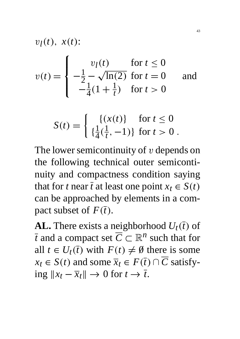$$
v_l(t),\; x(t) \mathbin{\colon}
$$

$$
v(t) = \begin{cases} v_l(t) & \text{for } t \le 0\\ -\frac{1}{2} - \sqrt{\ln(2)} & \text{for } t = 0\\ -\frac{1}{4}(1 + \frac{1}{t}) & \text{for } t > 0 \end{cases}
$$
 and

$$
S(t) = \begin{cases} \{(x(t)) \text{ for } t \le 0\\ \{\frac{1}{4}(\frac{1}{t}, -1)\} \text{ for } t > 0 \end{cases}.
$$

The lower semicontinuity of  $v$  depends on the following technical outer semicontinuity and compactness condition saying that for *t* near  $\bar{t}$  at least one point  $x_t \in S(t)$ can be approached by elements in a compact subset of  $F(\overline{t})$ .

**AL.** There exists a neighborhood  $U_t(\bar{t})$  of *t* and a compact set  $\overline{C} \subset \mathbb{R}^n$  such that for all  $t \in U_t(\overline{t})$  with  $F(t) \neq \emptyset$  there is some  $x_t \in S(t)$  and some  $\overline{x}_t \in F(\overline{t}) \cap \overline{C}$  satisfying  $||x_t - \overline{x}_t||$  → 0 for  $t \to \overline{t}$ .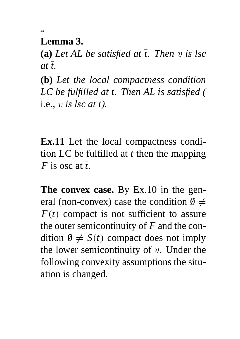**Lemma 3.**

44

**(a)** *Let AL be satisfied at t. Then* v *is lsc*  $at\bar{t}$ .

**(b)** *Let the local compactness condition LC be fulfilled at t. Then AL is satisfied (* i.e.*,* v *is lsc at t).*

**Ex.11** Let the local compactness condition LC be fulfilled at  $\bar{t}$  then the mapping *F* is osc at *t*.

**The convex case.** By Ex.10 in the general (non-convex) case the condition  $\emptyset \neq$  $F(\bar{t})$  compact is not sufficient to assure the outer semicontinuity of *F* and the condition  $\emptyset \neq S(\overline{t})$  compact does not imply the lower semicontinuity of  $v$ . Under the following convexity assumptions the situation is changed.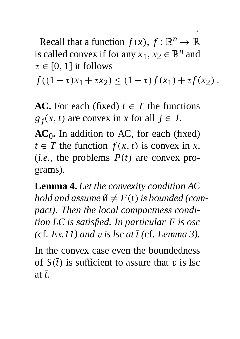Recall that a function  $f(x)$ ,  $f: \mathbb{R}^n \to \mathbb{R}$ is called convex if for any  $x_1, x_2 \in \mathbb{R}^n$  and  $\tau \in [0, 1]$  it follows

 $f((1-\tau)x_1 + \tau x_2) \leq (1-\tau)f(x_1) + \tau f(x_2)$ .

**AC.** For each (fixed)  $t \in T$  the functions  $g_j(x, t)$  are convex in *x* for all  $j \in J$ .

**AC**0 **.** In addition to AC, for each (fixed)  $t \in T$  the function  $f(x, t)$  is convex in *x*, (*i.e.*, the problems  $P(t)$  are convex programs).

**Lemma 4.** *Let the convexity condition AC hold and assume*  $\emptyset \neq F(\overline{t})$  *is bounded (compact). Then the local compactness condition LC is satisfied. In particular F is osc (cf. Ex.11) and v is lsc at*  $\overline{t}$  *(cf. Lemma 3).* 

In the convex case even the boundedness of  $S(\bar{t})$  is sufficient to assure that v is lsc at *t*.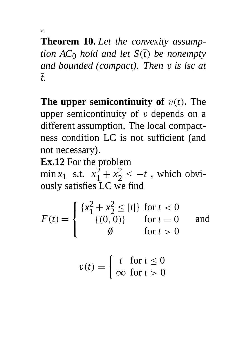46

**Theorem 10.** *Let the convexity assumption*  $AC_0$  *hold and let*  $S(\overline{t})$  *be nonempty and bounded (compact). Then* v *is lsc at t.*

**The upper semicontinuity of**  $v(t)$ **. The** upper semicontinuity of  $v$  depends on a different assumption. The local compactness condition LC is not sufficient (and not necessary).

**Ex.12** For the problem

min *x*<sub>1</sub> s.t.  $x_1^2 + x_2^2$ 2  $\leq -t$ , which obviously satisfies LC we find

$$
F(t) = \begin{cases} \{x_1^2 + x_2^2 \le |t|\} & \text{for } t < 0\\ \{ (0, 0) \} & \text{for } t = 0\\ \emptyset & \text{for } t > 0 \end{cases}
$$
 and

$$
v(t) = \begin{cases} t & \text{for } t \le 0\\ \infty & \text{for } t > 0 \end{cases}
$$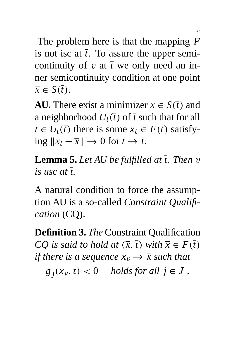The problem here is that the mapping *F* is not isc at  $\bar{t}$ . To assure the upper semicontinuity of  $v$  at  $\bar{t}$  we only need an inner semicontinuity condition at one point  $\overline{x} \in S(\overline{t}).$ 

**AU.** There exist a minimizer  $\overline{x} \in S(\overline{t})$  and a neighborhood  $U_t(\bar{t})$  of  $\bar{t}$  such that for all  $t \in U_t(\overline{t})$  there is some  $x_t \in F(t)$  satisfying  $||x_t - \overline{x}||$  → 0 for  $t \to \overline{t}$ .

**Lemma 5.** *Let AU be fulfilled at t. Then* v *is usc at t.*

A natural condition to force the assumption AU is a so-called *Constraint Qualification* (CQ).

**Definition 3.** *The* Constraint Qualification *CQ* is said to hold at  $(\overline{x}, \overline{t})$  with  $\overline{x} \in F(\overline{t})$ *if there is a sequence*  $x_v \rightarrow \overline{x}$  *such that*  $g_j(x_v, \overline{t}) < 0$  *holds for all*  $j \in J$ .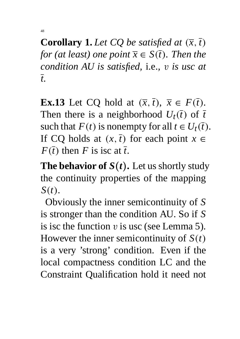**Corollary 1.** Let CQ be satisfied at  $(\overline{x}, \overline{t})$ *for (at least) one point*  $\overline{x} \in S(\overline{t})$ *. Then the condition AU is satisfied,* i.e.*,* v *is usc at t.*

48

**Ex.13** Let CQ hold at  $(\overline{x}, \overline{t})$ ,  $\overline{x} \in F(\overline{t})$ . Then there is a neighborhood  $U_t(\bar{t})$  of  $\bar{t}$ . such that  $F(t)$  is nonempty for all  $t \in U_t(\overline{t})$ . If CQ holds at  $(x, \overline{t})$  for each point  $x \in$  $F(\overline{t})$  then *F* is isc at  $\overline{t}$ .

**The behavior of**  $S(t)$ . Let us shortly study the continuity properties of the mapping  $S(t)$ .

Obviously the inner semicontinuity of *S* is stronger than the condition AU. So if *S* is isc the function  $v$  is usc (see Lemma 5). However the inner semicontinuity of  $S(t)$ is a very 'strong' condition. Even if the local compactness condition LC and the Constraint Qualification hold it need not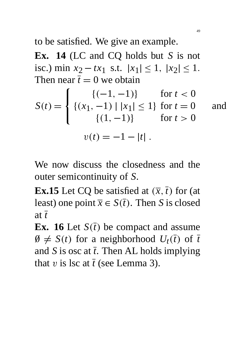to be satisfied. We give an example.

**Ex. 14** (LC and CQ holds but *S* is not isc.) min  $x_2 - tx_1$  s.t.  $|x_1| \le 1$ ,  $|x_2| \le 1$ . Then near  $\bar{t} = 0$  we obtain

$$
S(t) = \begin{cases} \{(-1, -1)\} & \text{for } t < 0\\ \{(x_1, -1) | |x_1| \le 1\} & \text{for } t = 0\\ \{ (1, -1) \} & \text{for } t > 0 \end{cases}
$$

$$
v(t) = -1 - |t|.
$$

We now discuss the closedness and the outer semicontinuity of *S*.

**Ex.15** Let CQ be satisfied at  $(\overline{x}, \overline{t})$  for (at least) one point  $\overline{x} \in S(\overline{t})$ . Then *S* is closed at  $\bar{t}$ 

**Ex.** 16 Let  $S(\bar{t})$  be compact and assume  $\emptyset \neq S(t)$  for a neighborhood  $U_t(\overline{t})$  of  $\overline{t}$ and *S* is osc at  $\bar{t}$ . Then AL holds implying that v is lsc at  $\bar{t}$  (see Lemma 3).

49

and